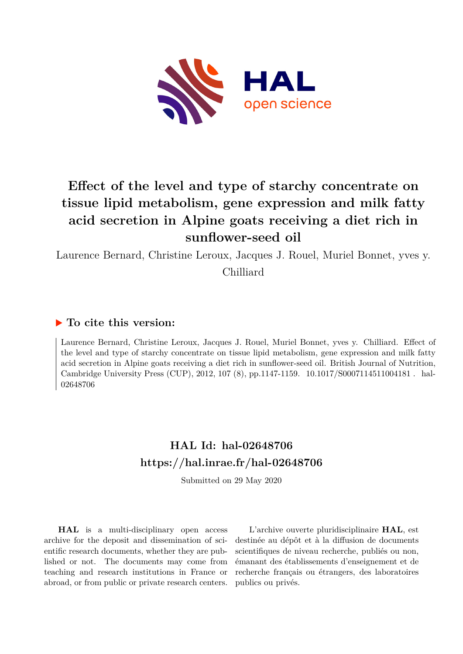

# **Effect of the level and type of starchy concentrate on tissue lipid metabolism, gene expression and milk fatty acid secretion in Alpine goats receiving a diet rich in sunflower-seed oil**

Laurence Bernard, Christine Leroux, Jacques J. Rouel, Muriel Bonnet, yves y. Chilliard

### **To cite this version:**

Laurence Bernard, Christine Leroux, Jacques J. Rouel, Muriel Bonnet, yves y. Chilliard. Effect of the level and type of starchy concentrate on tissue lipid metabolism, gene expression and milk fatty acid secretion in Alpine goats receiving a diet rich in sunflower-seed oil. British Journal of Nutrition, Cambridge University Press (CUP), 2012, 107 (8), pp.1147-1159. 10.1017/S0007114511004181. hal-02648706

## **HAL Id: hal-02648706 <https://hal.inrae.fr/hal-02648706>**

Submitted on 29 May 2020

**HAL** is a multi-disciplinary open access archive for the deposit and dissemination of scientific research documents, whether they are published or not. The documents may come from teaching and research institutions in France or abroad, or from public or private research centers.

L'archive ouverte pluridisciplinaire **HAL**, est destinée au dépôt et à la diffusion de documents scientifiques de niveau recherche, publiés ou non, émanant des établissements d'enseignement et de recherche français ou étrangers, des laboratoires publics ou privés.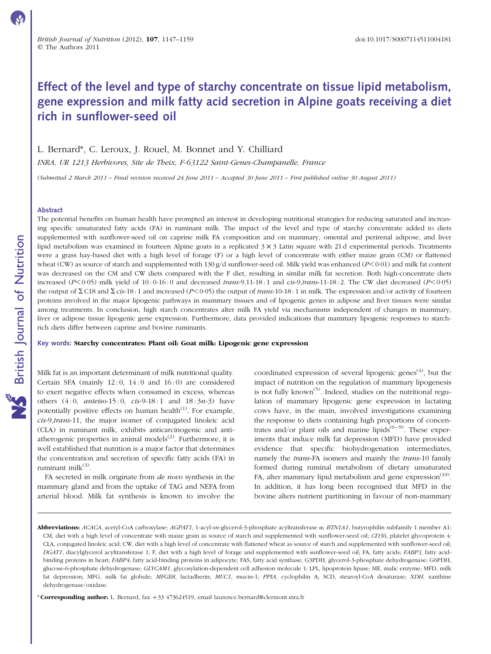### Effect of the level and type of starchy concentrate on tissue lipid metabolism, gene expression and milk fatty acid secretion in Alpine goats receiving a diet rich in sunflower-seed oil

L. Bernard\*, C. Leroux, J. Rouel, M. Bonnet and Y. Chilliard

INRA, UR 1213 Herbivores, Site de Theix, F-63122 Saint-Genes-Champanelle, France

(Submitted 2 March 2011 – Final revision received 24 June 2011 – Accepted 30 June 2011 – First published online 30 August 2011)

#### Abstract

The potential benefits on human health have prompted an interest in developing nutritional strategies for reducing saturated and increasing specific unsaturated fatty acids (FA) in ruminant milk. The impact of the level and type of starchy concentrate added to diets supplemented with sunflower-seed oil on caprine milk FA composition and on mammary, omental and perirenal adipose, and liver lipid metabolism was examined in fourteen Alpine goats in a replicated  $3 \times 3$  Latin square with 21 d experimental periods. Treatments were a grass hay-based diet with a high level of forage (F) or a high level of concentrate with either maize grain (CM) or flattened wheat (CW) as source of starch and supplemented with 130 g/d sunflower-seed oil. Milk yield was enhanced (P<0·01) and milk fat content was decreased on the CM and CW diets compared with the F diet, resulting in similar milk fat secretion. Both high-concentrate diets increased  $(P<0.05)$  milk yield of 10:0-16:0 and decreased trans-9,11-18:1 and cis-9,trans-11-18:2. The CW diet decreased  $(P<0.05)$ the output of  $\Sigma$  C18 and  $\Sigma$  cis-18 : 1 and increased (P<0.05) the output of trans-10-18 : 1 in milk. The expression and/or activity of fourteen proteins involved in the major lipogenic pathways in mammary tissues and of lipogenic genes in adipose and liver tissues were similar among treatments. In conclusion, high starch concentrates alter milk FA yield via mechanisms independent of changes in mammary, liver or adipose tissue lipogenic gene expression. Furthermore, data provided indications that mammary lipogenic responses to starchrich diets differ between caprine and bovine ruminants.

Key words: Starchy concentrates: Plant oil: Goat milk: Lipogenic gene expression

Milk fat is an important determinant of milk nutritional quality. Certain SFA (mainly  $12:0$ ,  $14:0$  and  $16:0$ ) are considered to exert negative effects when consumed in excess, whereas others  $(4:0, \text{ *anticiso-15:0, \text{ } \text{cis}-9-18:1 \text{ } \text{and} \text{ } 18:3n-3)*$  have potentially positive effects on human health $(1)$ . For example, cis-9,trans-11, the major isomer of conjugated linoleic acid (CLA) in ruminant milk, exhibits anticarcinogenic and antiatherogenic properties in animal models<sup> $(2)$ </sup>. Furthermore, it is well established that nutrition is a major factor that determines the concentration and secretion of specific fatty acids (FA) in ruminant mil $k^{(3)}$ .

FA secreted in milk originate from de novo synthesis in the mammary gland and from the uptake of TAG and NEFA from arterial blood. Milk fat synthesis is known to involve the

coordinated expression of several lipogenic genes<sup> $(4)$ </sup>, but the impact of nutrition on the regulation of mammary lipogenesis is not fully known<sup> $(5)$ </sup>. Indeed, studies on the nutritional regulation of mammary lipogenic gene expression in lactating cows have, in the main, involved investigations examining the response to diets containing high proportions of concentrates and/or plant oils and marine lipids<sup> $(6-9)$ </sup>. These experiments that induce milk fat depression (MFD) have provided evidence that specific biohydrogenation intermediates, namely the *trans*-FA isomers and mainly the *trans*-10 family formed during ruminal metabolism of dietary unsaturated FA, alter mammary lipid metabolism and gene  $\exp$ ression<sup>(10)</sup>. In addition, it has long been recognised that MFD in the bovine alters nutrient partitioning in favour of non-mammary

\* Corresponding author: L. Bernard, fax +33 473624519, email laurence.bernard@clermont.inra.fr

Abbreviations: ACACA, acetyl-CoA carboxylase; AGPAT1, 1-acyl-sn-glycerol-3-phosphate acyltransferase  $\alpha$ ; BTN1A1, butyrophilin subfamily 1 member A1; CM, diet with a high level of concentrate with maize grain as source of starch and supplemented with sunflower-seed oil; CD36, platelet glycoprotein 4; CLA, conjugated linoleic acid; CW, diet with a high level of concentrate with flattened wheat as source of starch and supplemented with sunflower-seed oil; DGAT1, diacylglycerol acyltransferase 1; F, diet with a high level of forage and supplemented with sunflower-seed oil; FA, fatty acids; FABP3, fatty acidbinding proteins in heart; FABP4, fatty acid-binding proteins in adipocyte; FAS, fatty acid synthase; G3PDH, glycerol-3-phosphate dehydrogenase; G6PDH, glucose-6-phosphate dehydrogenase; GLYCAM1, glycosylation-dependent cell adhesion molecule 1; LPL, lipoprotein lipase; ME, malic enzyme; MFD, milk fat depression; MFG, milk fat globule; MFGE8, lactadherin; MUC1, mucin-1; PPIA, cyclophilin A; SCD, stearoyl-CoA desaturase; XDH, xanthine dehydrogenase/oxidase.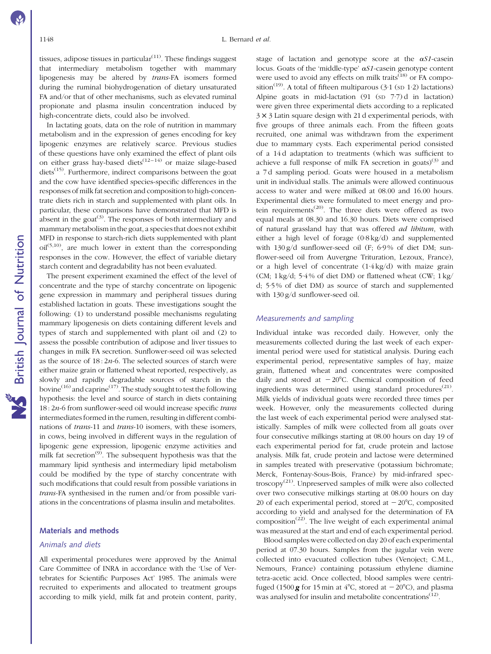tissues, adipose tissues in particular $(11)$ . These findings suggest that intermediary metabolism together with mammary lipogenesis may be altered by trans-FA isomers formed during the ruminal biohydrogenation of dietary unsaturated FA and/or that of other mechanisms, such as elevated ruminal propionate and plasma insulin concentration induced by high-concentrate diets, could also be involved.

In lactating goats, data on the role of nutrition in mammary metabolism and in the expression of genes encoding for key lipogenic enzymes are relatively scarce. Previous studies of these questions have only examined the effect of plant oils on either grass hay-based diets<sup> $(12-14)$ </sup> or maize silage-based diets $^{(15)}$ . Furthermore, indirect comparisons between the goat and the cow have identified species-specific differences in the responses of milk fat secretion and composition to high-concentrate diets rich in starch and supplemented with plant oils. In particular, these comparisons have demonstrated that MFD is absent in the goat<sup> $(3)$ </sup>. The responses of both intermediary and mammary metabolism in the goat, a species that does not exhibit MFD in response to starch-rich diets supplemented with plant  $\text{oil}^{(5,10)}$ , are much lower in extent than the corresponding responses in the cow. However, the effect of variable dietary starch content and degradability has not been evaluated.

The present experiment examined the effect of the level of concentrate and the type of starchy concentrate on lipogenic gene expression in mammary and peripheral tissues during established lactation in goats. These investigations sought the following: (1) to understand possible mechanisms regulating mammary lipogenesis on diets containing different levels and types of starch and supplemented with plant oil and (2) to assess the possible contribution of adipose and liver tissues to changes in milk FA secretion. Sunflower-seed oil was selected as the source of  $18:2n-6$ . The selected sources of starch were either maize grain or flattened wheat reported, respectively, as slowly and rapidly degradable sources of starch in the bovine<sup>(16)</sup> and caprine<sup>(17)</sup>. The study sought to test the following hypothesis: the level and source of starch in diets containing  $18:2n-6$  from sunflower-seed oil would increase specific trans intermediates formed in the rumen, resulting in different combinations of trans-11 and trans-10 isomers, with these isomers, in cows, being involved in different ways in the regulation of lipogenic gene expression, lipogenic enzyme activities and milk fat secretion $^{(9)}$ . The subsequent hypothesis was that the mammary lipid synthesis and intermediary lipid metabolism could be modified by the type of starchy concentrate with such modifications that could result from possible variations in trans-FA synthesised in the rumen and/or from possible variations in the concentrations of plasma insulin and metabolites.

### Materials and methods

#### Animals and diets

All experimental procedures were approved by the Animal Care Committee of INRA in accordance with the 'Use of Vertebrates for Scientific Purposes Act' 1985. The animals were recruited to experiments and allocated to treatment groups according to milk yield, milk fat and protein content, parity,

stage of lactation and genotype score at the  $\alpha SI$ -casein locus. Goats of the 'middle-type'  $\alpha S1$ -casein genotype content were used to avoid any effects on milk traits<sup> $(18)$ </sup> or FA composition<sup>(19)</sup>. A total of fifteen multiparous (3·1 (sp 1·2) lactations) Alpine goats in mid-lactation  $(91 (SD 7.7) d$  in lactation) were given three experimental diets according to a replicated  $3 \times 3$  Latin square design with 21 d experimental periods, with five groups of three animals each. From the fifteen goats recruited, one animal was withdrawn from the experiment due to mammary cysts. Each experimental period consisted of a 14 d adaptation to treatments (which was sufficient to achieve a full response of milk FA secretion in goats)<sup>(3)</sup> and a 7 d sampling period. Goats were housed in a metabolism unit in individual stalls. The animals were allowed continuous access to water and were milked at 08.00 and 16.00 hours. Experimental diets were formulated to meet energy and protein requirements<sup> $(20)$ </sup>. The three diets were offered as two equal meals at 08.30 and 16.30 hours. Diets were comprised of natural grassland hay that was offered ad libitum, with either a high level of forage (0·8 kg/d) and supplemented with 130 g/d sunflower-seed oil (F; 6.9% of diet DM; sunflower-seed oil from Auvergne Trituration, Lezoux, France), or a high level of concentrate (1·4 kg/d) with maize grain (CM;  $1 \text{ kg/d}$ ;  $5.4\%$  of diet DM) or flattened wheat (CW;  $1 \text{ kg}$ ) d; 5·5 % of diet DM) as source of starch and supplemented with 130 g/d sunflower-seed oil.

#### Measurements and sampling

Individual intake was recorded daily. However, only the measurements collected during the last week of each experimental period were used for statistical analysis. During each experimental period, representative samples of hay, maize grain, flattened wheat and concentrates were composited daily and stored at  $-20^{\circ}$ C. Chemical composition of feed ingredients was determined using standard procedures<sup> $(21)$ </sup>. Milk yields of individual goats were recorded three times per week. However, only the measurements collected during the last week of each experimental period were analysed statistically. Samples of milk were collected from all goats over four consecutive milkings starting at 08.00 hours on day 19 of each experimental period for fat, crude protein and lactose analysis. Milk fat, crude protein and lactose were determined in samples treated with preservative (potassium bichromate; Merck, Fontenay-Sous-Bois, France) by mid-infrared spectroscopy<sup> $(21)$ </sup>. Unpreserved samples of milk were also collected over two consecutive milkings starting at 08.00 hours on day 20 of each experimental period, stored at  $-20^{\circ}$ C, composited according to yield and analysed for the determination of FA composition<sup> $(22)$ </sup>. The live weight of each experimental animal was measured at the start and end of each experimental period.

Blood samples were collected on day 20 of each experimental period at 07.30 hours. Samples from the jugular vein were collected into evacuated collection tubes (Venoject; C.M.L., Nemours, France) containing potassium ethylene diamine tetra-acetic acid. Once collected, blood samples were centrifuged (1500  $g$  for 15 min at 4°C, stored at  $-20$ °C), and plasma was analysed for insulin and metabolite concentrations<sup>(12)</sup>.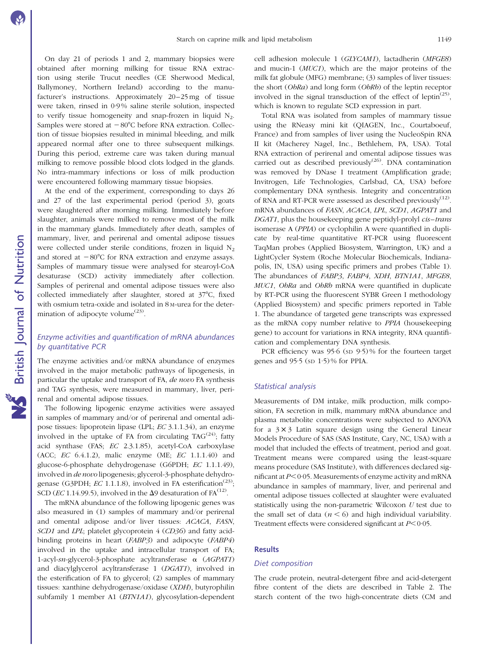On day 21 of periods 1 and 2, mammary biopsies were obtained after morning milking for tissue RNA extraction using sterile Trucut needles (CE Sherwood Medical, Ballymoney, Northern Ireland) according to the manufacturer's instructions. Approximately 20–25 mg of tissue were taken, rinsed in 0·9 % saline sterile solution, inspected to verify tissue homogeneity and snap-frozen in liquid  $N_2$ . Samples were stored at  $-80^{\circ}$ C before RNA extraction. Collection of tissue biopsies resulted in minimal bleeding, and milk appeared normal after one to three subsequent milkings. During this period, extreme care was taken during manual milking to remove possible blood clots lodged in the glands. No intra-mammary infections or loss of milk production were encountered following mammary tissue biopsies.

At the end of the experiment, corresponding to days 26 and 27 of the last experimental period (period 3), goats were slaughtered after morning milking. Immediately before slaughter, animals were milked to remove most of the milk in the mammary glands. Immediately after death, samples of mammary, liver, and perirenal and omental adipose tissues were collected under sterile conditions, frozen in liquid  $N<sub>2</sub>$ and stored at  $-80^{\circ}$ C for RNA extraction and enzyme assays. Samples of mammary tissue were analysed for stearoyl-CoA desaturase (SCD) activity immediately after collection. Samples of perirenal and omental adipose tissues were also collected immediately after slaughter, stored at  $37^{\circ}$ C, fixed with osmium tetra-oxide and isolated in 8 M-urea for the determination of adipocyte volume<sup>(23)</sup>.

### Enzyme activities and quantification of mRNA abundances by quantitative PCR

The enzyme activities and/or mRNA abundance of enzymes involved in the major metabolic pathways of lipogenesis, in particular the uptake and transport of FA, de novo FA synthesis and TAG synthesis, were measured in mammary, liver, perirenal and omental adipose tissues.

The following lipogenic enzyme activities were assayed in samples of mammary and/or of perirenal and omental adipose tissues: lipoprotein lipase (LPL; EC 3.1.1.34), an enzyme involved in the uptake of FA from circulating  $TAG^{(24)}$ ; fatty acid synthase (FAS; EC 2.3.1.85), acetyl-CoA carboxylase (ACC; EC 6.4.1.2), malic enzyme (ME; EC 1.1.1.40) and glucose-6-phosphate dehydrogenase (G6PDH; EC 1.1.1.49), involved in de novo lipogenesis; glycerol-3-phosphate dehydrogenase (G3PDH;  $EC$  1.1.1.8), involved in FA esterification<sup>(23)</sup>; SCD (EC 1.14.99.5), involved in the  $\Delta$ 9 desaturation of FA<sup>(12)</sup>.

The mRNA abundance of the following lipogenic genes was also measured in (1) samples of mammary and/or perirenal and omental adipose and/or liver tissues: ACACA, FASN, SCD1 and LPL; platelet glycoprotein 4 (CD36) and fatty acidbinding proteins in heart (*FABP3*) and adipocyte (*FABP4*) involved in the uptake and intracellular transport of FA; 1-acyl-sn-glycerol-3-phosphate acyltransferase a (AGPAT1) and diacylglycerol acyltransferase 1 (DGAT1), involved in the esterification of FA to glycerol; (2) samples of mammary tissues: xanthine dehydrogenase/oxidase (XDH), butyrophilin subfamily 1 member A1 (*BTN1A1*), glycosylation-dependent

cell adhesion molecule 1 (GLYCAM1), lactadherin (MFGE8) and mucin-1 (MUC1), which are the major proteins of the milk fat globule (MFG) membrane; (3) samples of liver tissues: the short (ObRa) and long form (ObRb) of the leptin receptor involved in the signal transduction of the effect of leptin $^{(25)}$ , which is known to regulate SCD expression in part.

Total RNA was isolated from samples of mammary tissue using the RNeasy mini kit (QIAGEN, Inc., Courtaboeuf, France) and from samples of liver using the NucleoSpin RNA II kit (Macherey Nagel, Inc., Bethlehem, PA, USA). Total RNA extraction of perirenal and omental adipose tissues was carried out as described previously<sup>(26)</sup>. DNA contamination was removed by DNase I treatment (Amplification grade; Invitrogen, Life Technologies, Carlsbad, CA, USA) before complementary DNA synthesis. Integrity and concentration of RNA and RT-PCR were assessed as described previously<sup>(12)</sup>. mRNA abundances of FASN, ACACA, LPL, SCD1, AGPAT1 and DGAT1, plus the housekeeping gene peptidyl-prolyl cis–trans isomerase A (PPIA) or cyclophilin A were quantified in duplicate by real-time quantitative RT-PCR using fluorescent TaqMan probes (Applied Biosystem, Warrington, UK) and a LightCycler System (Roche Molecular Biochemicals, Indianapolis, IN, USA) using specific primers and probes (Table 1). The abundances of FABP3, FABP4, XDH, BTN1A1, MFGE8, MUC1, ObRa and ObRb mRNA were quantified in duplicate by RT-PCR using the fluorescent SYBR Green I methodology (Applied Biosystem) and specific primers reported in Table 1. The abundance of targeted gene transcripts was expressed as the mRNA copy number relative to PPIA (housekeeping gene) to account for variations in RNA integrity, RNA quantification and complementary DNA synthesis.

PCR efficiency was 95.6 (SD 9.5)% for the fourteen target genes and 95·5 (SD 1·5) % for PPIA.

#### Statistical analysis

Measurements of DM intake, milk production, milk composition, FA secretion in milk, mammary mRNA abundance and plasma metabolite concentrations were subjected to ANOVA for a  $3 \times 3$  Latin square design using the General Linear Models Procedure of SAS (SAS Institute, Cary, NC, USA) with a model that included the effects of treatment, period and goat. Treatment means were compared using the least-square means procedure (SAS Institute), with differences declared significant at  $P<0.05$ . Measurements of enzyme activity and mRNA abundance in samples of mammary, liver, and perirenal and omental adipose tissues collected at slaughter were evaluated statistically using the non-parametric Wilcoxon U test due to the small set of data ( $n < 6$ ) and high individual variability. Treatment effects were considered significant at  $P < 0.05$ .

#### **Results**

#### Diet composition

The crude protein, neutral-detergent fibre and acid-detergent fibre content of the diets are described in Table 2. The starch content of the two high-concentrate diets (CM and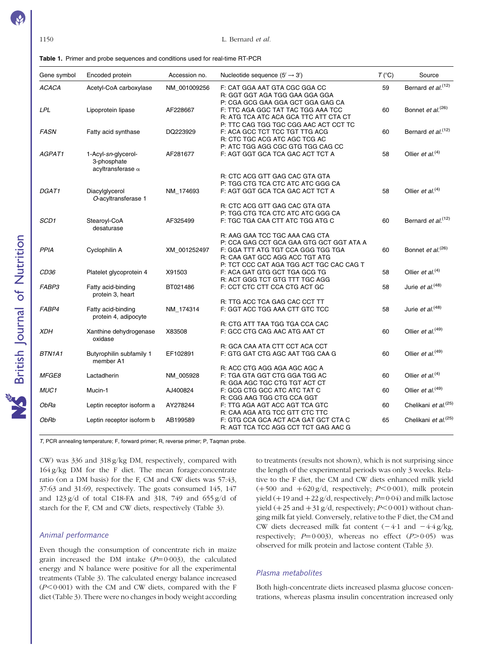| <b>Table 1.</b> Primer and probe sequences and conditions used for real-time RT-PCR |  |
|-------------------------------------------------------------------------------------|--|
|-------------------------------------------------------------------------------------|--|

| Gene symbol  | Encoded protein                                                | Accession no. | Nucleotide sequence $(5' \rightarrow 3')$ | $T (^{\circ}C)$ | Source                           |
|--------------|----------------------------------------------------------------|---------------|-------------------------------------------|-----------------|----------------------------------|
| <b>ACACA</b> | Acetyl-CoA carboxylase                                         | NM 001009256  | F: CAT GGA AAT GTA CGC GGA CC             | 59              | Bernard et al. <sup>(12)</sup>   |
|              |                                                                |               | R: GGT GGT AGA TGG GAA GGA GGA            |                 |                                  |
|              |                                                                |               | P: CGA GCG GAA GGA GCT GGA GAG CA         |                 |                                  |
| <b>LPL</b>   | Lipoprotein lipase                                             | AF228667      | F: TTC AGA GGC TAT TAC TGG AAA TCC        | 60              | Bonnet et al. <sup>(26)</sup>    |
|              |                                                                |               | R: ATG TCA ATC ACA GCA TTC ATT CTA CT     |                 |                                  |
|              |                                                                |               | P: TTC CAG TGG TGC CGG AAC ACT CCT TC     |                 |                                  |
| <b>FASN</b>  | Fatty acid synthase                                            | DQ223929      | F: ACA GCC TCT TCC TGT TTG ACG            | 60              | Bernard et al. <sup>(12)</sup>   |
|              |                                                                |               | R: CTC TGC ACG ATC AGC TCG AC             |                 |                                  |
|              |                                                                |               | P: ATC TGG AGG CGC GTG TGG CAG CC         |                 |                                  |
| AGPAT1       | 1-Acyl-sn-glycerol-<br>3-phosphate<br>acyltransferase $\alpha$ | AF281677      | F: AGT GGT GCA TCA GAC ACT TCT A          | 58              | Ollier et al. $(4)$              |
|              |                                                                |               | R: CTC ACG GTT GAG CAC GTA GTA            |                 |                                  |
|              |                                                                |               | P: TGG CTG TCA CTC ATC ATC GGG CA         |                 |                                  |
| DGAT1        | Diacylglycerol<br>O-acyltransferase 1                          | NM_174693     | F: AGT GGT GCA TCA GAC ACT TCT A          | 58              | Ollier et al. $(4)$              |
|              |                                                                |               | R: CTC ACG GTT GAG CAC GTA GTA            |                 |                                  |
|              |                                                                |               | P: TGG CTG TCA CTC ATC ATC GGG CA         |                 |                                  |
| SCD1         | Stearoyl-CoA<br>desaturase                                     | AF325499      | F: TGC TGA CAA CTT ATC TGG ATG C          | 60              | Bernard et al. <sup>(12)</sup>   |
|              |                                                                |               | R: AAG GAA TCC TGC AAA CAG CTA            |                 |                                  |
|              |                                                                |               | P: CCA GAG CCT GCA GAA GTG GCT GGT ATA A  |                 |                                  |
| <b>PPIA</b>  | Cyclophilin A                                                  | XM 001252497  | F: GGA TTT ATG TGT CCA GGG TGG TGA        | 60              | Bonnet et al. <sup>(26)</sup>    |
|              |                                                                |               | R: CAA GAT GCC AGG ACC TGT ATG            |                 |                                  |
|              |                                                                |               | P: TCT CCC CAT AGA TGG ACT TGC CAC CAG T  |                 |                                  |
| CD36         | Platelet glycoprotein 4                                        | X91503        | F: ACA GAT GTG GCT TGA GCG TG             | 58              | Ollier et al. $(4)$              |
|              |                                                                |               | R: ACT GGG TCT GTG TTT TGC AGG            |                 |                                  |
| FABP3        | Fatty acid-binding<br>protein 3, heart                         | BT021486      | F: CCT CTC CTT CCA CTG ACT GC             | 58              | Jurie et al. $(48)$              |
|              |                                                                |               | R: TTG ACC TCA GAG CAC CCT TT             |                 |                                  |
| FABP4        | Fatty acid-binding<br>protein 4, adipocyte                     | NM_174314     | F: GGT ACC TGG AAA CTT GTC TCC            | 58              | Jurie et al. <sup>(48)</sup>     |
|              |                                                                |               | R: CTG ATT TAA TGG TGA CCA CAC            |                 |                                  |
| <b>XDH</b>   | Xanthine dehydrogenase<br>oxidase                              | X83508        | F: GCC CTG CAG AAC ATG AAT CT             | 60              | Ollier et al. <sup>(49)</sup>    |
|              |                                                                |               | R: GCA CAA ATA CTT CCT ACA CCT            |                 |                                  |
| BTN1A1       | Butyrophilin subfamily 1<br>member A1                          | EF102891      | F: GTG GAT CTG AGC AAT TGG CAA G          | 60              | Ollier et al. <sup>(49)</sup>    |
|              |                                                                |               | R: ACC CTG AGG AGA AGC AGC A              |                 |                                  |
| <b>MFGE8</b> | Lactadherin                                                    | NM_005928     | F: TGA GTA GGT CTG GGA TGG AC             | 60              | Ollier et al. <sup>(4)</sup>     |
|              |                                                                |               | R: GGA AGC TGC CTG TGT ACT CT             |                 |                                  |
| MUC1         | Mucin-1                                                        | AJ400824      | F: GCG CTG GCC ATC ATC TAT C              | 60              | Ollier et al. <sup>(49)</sup>    |
|              |                                                                |               | R: CGG AAG TGG CTG CCA GGT                |                 |                                  |
| ObRa         | Leptin receptor isoform a                                      | AY278244      | F: TTG AGA AGT ACC AGT TCA GTC            | 60              | Chelikani et al. <sup>(25)</sup> |
|              |                                                                |               | R: CAA AGA ATG TCC GTT CTC TTC            |                 |                                  |
| ObRb         | Leptin receptor isoform b                                      | AB199589      | F: GTG CCA GCA ACT ACA GAT GCT CTA C      | 65              | Chelikani et al. <sup>(25)</sup> |
|              |                                                                |               | R: AGT TCA TCC AGG CCT TCT GAG AAC G      |                 |                                  |
|              |                                                                |               |                                           |                 |                                  |

T, PCR annealing temperature; F, forward primer; R, reverse primer; P, Taqman probe.

CW) was 336 and 318 g/kg DM, respectively, compared with 164 g/kg DM for the F diet. The mean forage:concentrate ratio (on a DM basis) for the F, CM and CW diets was 57:43, 37:63 and 31:69, respectively. The goats consumed 145, 147 and  $123 g/d$  of total C18-FA and 318, 749 and 655  $g/d$  of starch for the F, CM and CW diets, respectively (Table 3).

#### Animal performance

Even though the consumption of concentrate rich in maize grain increased the DM intake  $(P=0.003)$ , the calculated energy and N balance were positive for all the experimental treatments (Table 3). The calculated energy balance increased  $(P<0.001)$  with the CM and CW diets, compared with the F diet (Table 3). There were no changes in body weight according to treatments (results not shown), which is not surprising since the length of the experimental periods was only 3 weeks. Relative to the F diet, the CM and CW diets enhanced milk yield  $(+500 \text{ and } +620 \text{ g/d}, \text{ respectively}; P<0.001)$ , milk protein yield (+19 and +22 g/d, respectively;  $P=0.04$ ) and milk lactose yield  $(+25 \text{ and } +31 \text{ g/d},$  respectively;  $P<0.001$ ) without changing milk fat yield. Conversely, relative to the F diet, the CM and CW diets decreased milk fat content  $(-4.1 \text{ and } -4.4 \text{ g/kg})$ , respectively;  $P=0.003$ ), whereas no effect ( $P>0.05$ ) was observed for milk protein and lactose content (Table 3).

#### Plasma metabolites

Both high-concentrate diets increased plasma glucose concentrations, whereas plasma insulin concentration increased only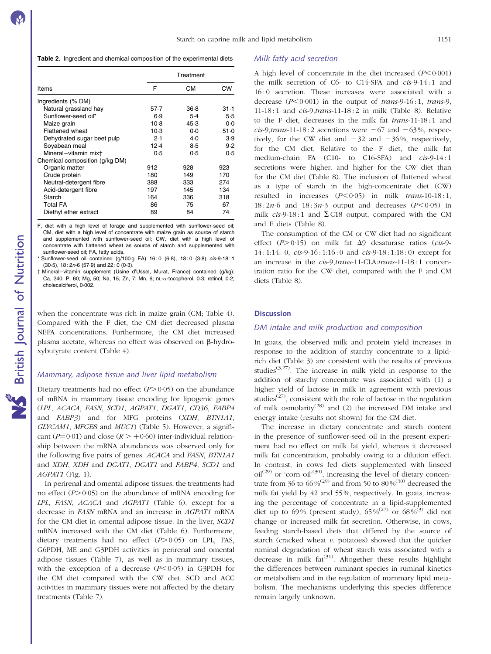Table 2. Ingredient and chemical composition of the experimental diets

|                                | Treatment |       |        |  |  |
|--------------------------------|-----------|-------|--------|--|--|
| Items                          | F         | CМ    | CW     |  |  |
| Ingredients (% DM)             |           |       |        |  |  |
| Natural grassland hay          | 57.7      | 36.8  | $31-1$ |  |  |
| Sunflower-seed oil*            | 6.9       | $5-4$ | 5.5    |  |  |
| Maize grain                    | $10-8$    | 45.3  | $0-0$  |  |  |
| <b>Flattened wheat</b>         | $10-3$    | $0-0$ | 51.0   |  |  |
| Dehydrated sugar beet pulp     | 2.1       | $4-0$ | 3.9    |  |  |
| Soyabean meal                  | 12.4      | $8-5$ | 9.2    |  |  |
| Mineral-vitamin mixt           | 0.5       | 0.5   | 0.5    |  |  |
| Chemical composition (g/kg DM) |           |       |        |  |  |
| Organic matter                 | 912       | 928   | 923    |  |  |
| Crude protein                  | 180       | 149   | 170    |  |  |
| Neutral-detergent fibre        | 388       | 333   | 274    |  |  |
| Acid-detergent fibre           | 197       | 145   | 134    |  |  |
| Starch                         | 164       | 336   | 318    |  |  |
| <b>Total FA</b>                | 86        | 75    | 67     |  |  |
| Diethyl ether extract          | 89        | 84    | 74     |  |  |

F, diet with a high level of forage and supplemented with sunflower-seed oil; CM, diet with a high level of concentrate with maize grain as source of starch and supplemented with sunflower-seed oil; CW, diet with a high level of concentrate with flattened wheat as source of starch and supplemented with sunflower-seed oil; FA, fatty acids.

Sunflower-seed oil contained (g/100 g FA) 16 : 0 (6·8), 18 : 0 (3·8) cis-9-18 : 1 (30·5), 18 : 2n-6 (57·9) and 22 : 0 (0·3).

† Mineral–vitamin supplement (Usine d'Ussel, Murat, France) contained (g/kg): Ca, 240; P, 60; Mg, 50; Na, 15; Zn, 7; Mn, 6; DL-a-tocopherol, 0·3; retinol, 0·2; cholecalciferol, 0·002.

when the concentrate was rich in maize grain (CM; Table 4). Compared with the F diet, the CM diet decreased plasma NEFA concentrations. Furthermore, the CM diet increased plasma acetate, whereas no effect was observed on  $\beta$ -hydroxybutyrate content (Table 4).

#### Mammary, adipose tissue and liver lipid metabolism

Dietary treatments had no effect  $(P>0.05)$  on the abundance of mRNA in mammary tissue encoding for lipogenic genes (LPL, ACACA, FASN, SCD1, AGPAT1, DGAT1, CD36, FABP4 and FABP3) and for MFG proteins (XDH, BTN1A1, GLYCAM1, MFGE8 and MUC1) (Table 5). However, a significant ( $P=0.01$ ) and close ( $R > +0.60$ ) inter-individual relationship between the mRNA abundances was observed only for the following five pairs of genes: ACACA and FASN, BTN1A1 and XDH, XDH and DGAT1, DGAT1 and FABP4, SCD1 and AGPAT1 (Fig. 1).

In perirenal and omental adipose tissues, the treatments had no effect  $(P>0.05)$  on the abundance of mRNA encoding for LPL, FASN, ACACA and AGPAT1 (Table 6), except for a decrease in FASN mRNA and an increase in AGPAT1 mRNA for the CM diet in omental adipose tissue. In the liver, SCD1 mRNA increased with the CM diet (Table 6). Furthermore, dietary treatments had no effect  $(P>0.05)$  on LPL, FAS, G6PDH, ME and G3PDH activities in perirenal and omental adipose tissues (Table 7), as well as in mammary tissues, with the exception of a decrease  $(P<0.05)$  in G3PDH for the CM diet compared with the CW diet. SCD and ACC activities in mammary tissues were not affected by the dietary treatments (Table 7).

#### Milk fatty acid secretion

A high level of concentrate in the diet increased  $(P<0.001)$ the milk secretion of C6- to C14-SFA and cis-9-14 : 1 and 16 : 0 secretion. These increases were associated with a decrease  $(P<0.001)$  in the output of trans-9-16:1, trans-9, 11-18 : 1 and cis-9,trans-11-18 : 2 in milk (Table 8). Relative to the F diet, decreases in the milk fat trans-11-18 : 1 and cis-9,trans-11-18 : 2 secretions were  $-67$  and  $-63\%$ , respectively, for the CW diet and  $-32$  and  $-36\%$ , respectively, for the CM diet. Relative to the F diet, the milk fat medium-chain FA (C10- to C16-SFA) and cis-9-14 : 1 secretions were higher, and higher for the CW diet than for the CM diet (Table 8). The inclusion of flattened wheat as a type of starch in the high-concentrate diet (CW) resulted in increases  $(P<0.05)$  in milk trans-10-18:1,  $18:2n-6$  and  $18:3n-3$  output and decreases  $(P<0.05)$  in milk  $cis-9-18:1$  and  $\Sigma$  C18 output, compared with the CM and F diets (Table 8).

The consumption of the CM or CW diet had no significant effect ( $P > 0.15$ ) on milk fat  $\Delta$ 9 desaturase ratios (cis-9-14 : 1:14: 0, cis-9-16 : 1:16 : 0 and cis-9-18 : 1:18 : 0) except for an increase in the cis-9,trans-11-CLA:trans-11-18 : 1 concentration ratio for the CW diet, compared with the F and CM diets (Table 8).

#### **Discussion**

#### DM intake and milk production and composition

In goats, the observed milk and protein yield increases in response to the addition of starchy concentrate to a lipidrich diet (Table 3) are consistent with the results of previous studies<sup>(3,27)</sup>. The increase in milk yield in response to the addition of starchy concentrate was associated with (1) a higher yield of lactose in milk in agreement with previous studies<sup> $(27)$ </sup>, consistent with the role of lactose in the regulation of milk osmolarity(28) and (2) the increased DM intake and energy intake (results not shown) for the CM diet.

The increase in dietary concentrate and starch content in the presence of sunflower-seed oil in the present experiment had no effect on milk fat yield, whereas it decreased milk fat concentration, probably owing to a dilution effect. In contrast, in cows fed diets supplemented with linseed  $\text{oil}^{(29)}$  or 'corn  $\text{oil}^{(30)}$ , increasing the level of dietary concentrate from 36 to 66 %<sup>(29)</sup> and from 50 to 80 %<sup>(30)</sup> decreased the milk fat yield by 42 and 55 %, respectively. In goats, increasing the percentage of concentrate in a lipid-supplemented diet up to 69% (present study),  $65\%^{(27)}$  or  $68\%^{(3)}$  did not change or increased milk fat secretion. Otherwise, in cows, feeding starch-based diets that differed by the source of starch (cracked wheat  $v$ . potatoes) showed that the quicker ruminal degradation of wheat starch was associated with a decrease in milk  $fat^{(31)}$ . Altogether these results highlight the differences between ruminant species in ruminal kinetics or metabolism and in the regulation of mammary lipid metabolism. The mechanisms underlying this species difference remain largely unknown.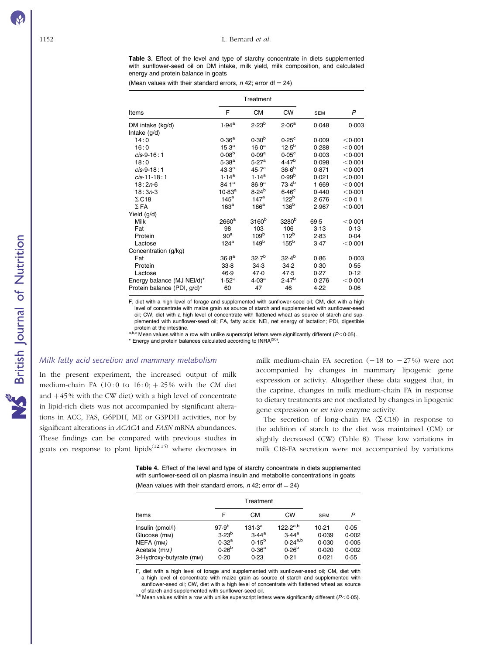Table 3. Effect of the level and type of starchy concentrate in diets supplemented with sunflower-seed oil on DM intake, milk yield, milk composition, and calculated energy and protein balance in goats

(Mean values with their standard errors,  $n$  42; error df = 24)

|                             |                      | Treatment         |                   |            |         |
|-----------------------------|----------------------|-------------------|-------------------|------------|---------|
| Items                       | F                    | СM                | <b>CW</b>         | <b>SEM</b> | P       |
| DM intake (kg/d)            | $1.94^{\rm a}$       | $2.23^{b}$        | 2.06 <sup>a</sup> | 0.048      | 0.003   |
| Intake (g/d)                |                      |                   |                   |            |         |
| 14:0                        | 0.36 <sup>a</sup>    | 0.30 <sup>b</sup> | 0.25 <sup>c</sup> | 0.009      | < 0.001 |
| 16:0                        | $15.3^{\rm a}$       | $16.0^{\rm a}$    | $12.5^{b}$        | 0.288      | < 0.001 |
| $cis-9-16:1$                | 0.08 <sup>b</sup>    | 0.09 <sup>a</sup> | $0.05^{\circ}$    | 0.003      | < 0.001 |
| 18:0                        | $5.38^{a}$           | 5.27 <sup>a</sup> | 4.47 <sup>b</sup> | 0.098      | < 0.001 |
| $cis-9-18:1$                | $43.3^a$             | 45.7 <sup>a</sup> | $36.6^{b}$        | 0.871      | < 0.001 |
| $cis-11-18:1$               | $1.14^{a}$           | $1.14^{a}$        | 0.99 <sup>b</sup> | 0.021      | < 0.001 |
| $18:2n-6$                   | $84.1^a$             | 86.9 <sup>a</sup> | $73.4^{b}$        | 1.669      | < 0.001 |
| $18:3n-3$                   | $10.83^{\mathrm{a}}$ | $8.24^{b}$        | 6.46 <sup>c</sup> | 0.440      | < 0.001 |
| $\Sigma$ C18                | $145^a$              | 147 <sup>a</sup>  | 122 <sup>b</sup>  | 2.676      | < 0.01  |
| $\Sigma$ FA                 | $163^a$              | 166 <sup>a</sup>  | 136 <sup>b</sup>  | 2.967      | < 0.001 |
| Yield (g/d)                 |                      |                   |                   |            |         |
| Milk                        | 2660 <sup>a</sup>    | 3160 <sup>b</sup> | 3280 <sup>b</sup> | 69.5       | < 0.001 |
| Fat                         | 98                   | 103               | 106               | 3.13       | 0.13    |
| Protein                     | 90 <sup>a</sup>      | 109 <sup>b</sup>  | 112 <sup>b</sup>  | 2.83       | 0.04    |
| Lactose                     | $124^a$              | 149 <sup>b</sup>  | 155 <sup>b</sup>  | 3.47       | < 0.001 |
| Concentration (g/kg)        |                      |                   |                   |            |         |
| Fat                         | 36.8 <sup>a</sup>    | 32.7 <sup>b</sup> | $32.4^{b}$        | 0.86       | 0.003   |
| Protein                     | 33.8                 | 34.3              | 34.2              | 0.30       | 0.55    |
| Lactose                     | 46.9                 | 47.0              | 47.5              | 0.27       | 0.12    |
| Energy balance (MJ NEI/d)*  | $1.52^{\circ}$       | 4.03 <sup>a</sup> | $2.47^{b}$        | 0.276      | < 0.001 |
| Protein balance (PDI, g/d)* | 60                   | 47                | 46                | 4.22       | 0.06    |

F, diet with a high level of forage and supplemented with sunflower-seed oil; CM, diet with a high level of concentrate with maize grain as source of starch and supplemented with sunflower-seed oil; CW, diet with a high level of concentrate with flattened wheat as source of starch and supplemented with sunflower-seed oil; FA, fatty acids; NEl, net energy of lactation; PDI, digestible

protein at the intestine.<br>
a,b,c Mean values within a row with unlike superscript letters were significantly different (P<0.05).  $*$  Energy and protein balances calculated according to  $\text{INRA}^{(20)}$ .

#### Milk fatty acid secretion and mammary metabolism

In the present experiment, the increased output of milk medium-chain FA  $(10:0$  to  $16:0; +25%$  with the CM diet and  $+45\%$  with the CW diet) with a high level of concentrate in lipid-rich diets was not accompanied by significant alterations in ACC, FAS, G6PDH, ME or G3PDH activities, nor by significant alterations in ACACA and FASN mRNA abundances. These findings can be compared with previous studies in goats on response to plant lipids<sup> $(12,15)$ </sup> where decreases in

milk medium-chain FA secretion  $(-18 \text{ to } -27\%)$  were not accompanied by changes in mammary lipogenic gene expression or activity. Altogether these data suggest that, in the caprine, changes in milk medium-chain FA in response to dietary treatments are not mediated by changes in lipogenic gene expression or ex vivo enzyme activity.

The secretion of long-chain FA  $(\Sigma \text{C18})$  in response to the addition of starch to the diet was maintained (CM) or slightly decreased (CW) (Table 8). These low variations in milk C18-FA secretion were not accompanied by variations

Table 4. Effect of the level and type of starchy concentrate in diets supplemented with sunflower-seed oil on plasma insulin and metabolite concentrations in goats

(Mean values with their standard errors,  $n$  42; error df = 24)

|                           |                   | Treatment          |                |            |       |
|---------------------------|-------------------|--------------------|----------------|------------|-------|
| Items                     | F                 | CМ                 | <b>CW</b>      | <b>SEM</b> | P     |
| Insulin (pmol/l)          | 97.9 <sup>b</sup> | 131.3 <sup>a</sup> | $122.2^{a,b}$  | 10.21      | 0.05  |
| Glucose (m <sub>M</sub> ) | $3.23^{b}$        | $3.44^a$           | $3.44^{\rm a}$ | 0.039      | 0.002 |
| NEFA (mm)                 | 0.32 <sup>a</sup> | $0.15^{b}$         | $0.24^{a,b}$   | 0.030      | 0.005 |
| Acetate (m <sub>M</sub> ) | $0.26^{b}$        | 0.36 <sup>a</sup>  | $0.26^{b}$     | 0.020      | 0.002 |
| 3-Hydroxy-butyrate (mm)   | 0.20              | 0.23               | 0.21           | 0.021      | 0.55  |

F, diet with a high level of forage and supplemented with sunflower-seed oil; CM, diet with a high level of concentrate with maize grain as source of starch and supplemented with sunflower-seed oil; CW, diet with a high level of concentrate with flattened wheat as source of starch and supplemented with sunflower-seed oil.

a,b Mean values within a row with unlike superscript letters were significantly different ( $P$ < 0.05).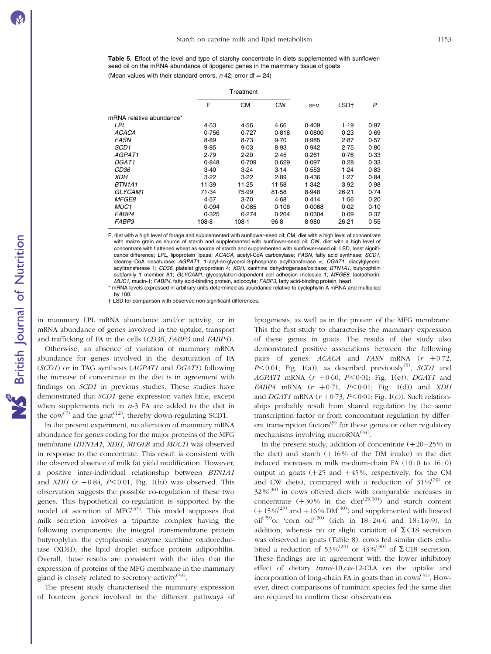Table 5. Effect of the level and type of starchy concentrate in diets supplemented with sunflowerseed oil on the mRNA abundance of lipogenic genes in the mammary tissue of goats (Mean values with their standard errors,  $n$  42; error df = 24)

|                          |        | Treatment |           |            |         |      |
|--------------------------|--------|-----------|-----------|------------|---------|------|
|                          | F      | CМ        | <b>CW</b> | <b>SEM</b> | LSD†    | P    |
| mRNA relative abundance* |        |           |           |            |         |      |
| LPL                      | 4.53   | 4.56      | 4.66      | 0.409      | 1.19    | 0.97 |
| ACACA                    | 0.756  | 0.727     | 0.818     | 0.0800     | 0.23    | 0.69 |
| <b>FASN</b>              | 8.89   | 8.73      | 9.70      | 0.985      | 2.87    | 0.57 |
| SCD1                     | 9.85   | 9.03      | 8.93      | 0.942      | 2.75    | 0.80 |
| AGPAT1                   | 2.79   | 2.20      | 2.45      | 0.261      | 0.76    | 0.33 |
| DGAT1                    | 0.848  | 0.709     | 0.629     | 0.097      | 0.28    | 0.33 |
| CD36                     | $3-40$ | 3.24      | 3.14      | 0.553      | 1.24    | 0.83 |
| <b>XDH</b>               | 3.22   | 3.22      | 2.89      | 0.436      | 1.27    | 0.84 |
| BTN1A1                   | 11.39  | 11.25     | 11.58     | 1.342      | 3.92    | 0.98 |
| GLYCAM1                  | 71.34  | 75.99     | 81.58     | 8.948      | 26.21   | 0.74 |
| <b>MFGE8</b>             | 4.57   | $3-70$    | 4.68      | 0.414      | 1.56    | 0.20 |
| MUC1                     | 0.094  | 0.085     | 0.106     | 0.0068     | 0.02    | 0.10 |
| FABP4                    | 0.325  | 0.274     | 0.264     | 0.0304     | 0.09    | 0.37 |
| <i>FABP3</i>             | 108.8  | $108-1$   | $96-8$    | 8.980      | $26-21$ | 0.55 |

F, diet with a high level of forage and supplemented with sunflower-seed oil; CM, diet with a high level of concentrate with maize grain as source of starch and supplemented with sunflower-seed oil; CW, diet with a high level of concentrate with flattened wheat as source of starch and supplemented with sunflower-seed oil; LSD, least significance difference; LPL, lipoprotein lipase; ACACA, acetyl-CoA carboxylase; FASN, fatty acid synthase; SCD1, stearoyl-CoA desaturase;  $AGPAT1$ , 1-acyl-sn-glycerol-3-phosphate acyltransferase  $\alpha$ ; DGAT1, diacylglycerol acyltransferase 1; CD36, platelet glycoprotein 4; XDH, xanthine dehydrogenase/oxidase; BTN1A1, butyrophilin subfamily 1 member A1; GLYCAM1, glycosylation-dependent cell adhesion molecule 1; MFGE8, lactadherin; MUC1, mucin-1; FABP4, fatty acid-binding protein, adipocyte; FABP3, fatty acid-binding protein, heart.

mRNA levels expressed in arbitrary units determined as abundance relative to cyclophylin A mRNA and multiplied by 100.

† LSD for comparison with observed non-significant differences.

in mammary LPL mRNA abundance and/or activity, or in mRNA abundance of genes involved in the uptake, transport and trafficking of FA in the cells (CD36, FABP3 and FABP4).

Otherwise, an absence of variation of mammary mRNA abundance for genes involved in the desaturation of FA (SCD1) or in TAG synthesis (AGPAT1 and DGAT1) following the increase of concentrate in the diet is in agreement with findings on SCD1 in previous studies. These studies have demonstrated that SCD1 gene expression varies little, except when supplements rich in  $n-3$  FA are added to the diet in the cow<sup>(7)</sup> and the goat<sup>(12)</sup>, thereby down-regulating SCD1.

In the present experiment, no alteration of mammary mRNA abundance for genes coding for the major proteins of the MFG membrane (BTN1A1, XDH, MFGE8 and MUC1) was observed in response to the concentrate. This result is consistent with the observed absence of milk fat yield modification. However, a positive inter-individual relationship between BTN1A1 and XDH ( $r + 0.84$ ,  $P < 0.01$ ; Fig. 1(b)) was observed. This observation suggests the possible co-regulation of these two genes. This hypothetical co-regulation is supported by the model of secretion of  $MFG^{(32)}$ . This model supposes that milk secretion involves a tripartite complex having the following components: the integral transmembrane protein butyroplylin; the cytoplasmic enzyme xanthine oxidoreductase (XDH); the lipid droplet surface protein adipophilin. Overall, these results are consistent with the idea that the expression of proteins of the MFG membrane in the mammary gland is closely related to secretory activity<sup>(33)</sup>.

The present study characterised the mammary expression of fourteen genes involved in the different pathways of

lipogenesis, as well as in the protein of the MFG membrane. This the first study to characterise the mammary expression of these genes in goats. The results of the study also demonstrated positive associations between the following pairs of genes:  $ACACA$  and  $FASN$  mRNA  $(r + 0.72)$ ,  $P \leq 0.01$ ; Fig. 1(a)), as described previously<sup>(5)</sup>, *SCD1* and AGPAT1 mRNA  $(r + 0.60, P < 0.01;$  Fig. 1(e)), DGAT1 and  $FABP4$  mRNA  $(r + 0.71, P < 0.01;$  Fig. 1(d)) and XDH and DGAT1 mRNA  $(r + 0.73, P < 0.01;$  Fig. 1(c)). Such relationships probably result from shared regulation by the same transcription factor or from concomitant regulation by different transcription factors<sup> $(9)$ </sup> for these genes or other regulatory mechanisms involving microRNA<sup>(34)</sup>.

In the present study, addition of concentrate  $(+20-25%)$  in the diet) and starch  $(+16\%$  of the DM intake) in the diet induced increases in milk medium-chain FA  $(10:0$  to  $16:0)$ output in goats  $(+25 \text{ and } +45\%$ , respectively, for the CM and CW diets), compared with a reduction of  $31\%^{(29)}$  or 32 %(30) in cows offered diets with comparable increases in concentrate  $(+30\%$  in the diet<sup>(29,30)</sup> and starch content  $(+15\%^{(29)}$  and  $+16\%$  DM<sup>(30)</sup>) and supplemented with linseed oil<sup>(29)</sup>or 'corn oil<sup>'(30)</sup> (rich in  $18:2n-6$  and  $18:1n-9$ ). In addition, whereas no or slight variation of  $\Sigma$  C18 secretion was observed in goats (Table 8), cows fed similar diets exhibited a reduction of 53%<sup>(29)</sup> or 43%<sup>(30)</sup> of  $\Sigma$  C18 secretion. These findings are in agreement with the lower inhibitory effect of dietary trans-10,cis-12-CLA on the uptake and incorporation of long-chain FA in goats than in  $\cos^{(35)}$ . However, direct comparisons of ruminant species fed the same diet are required to confirm these observations.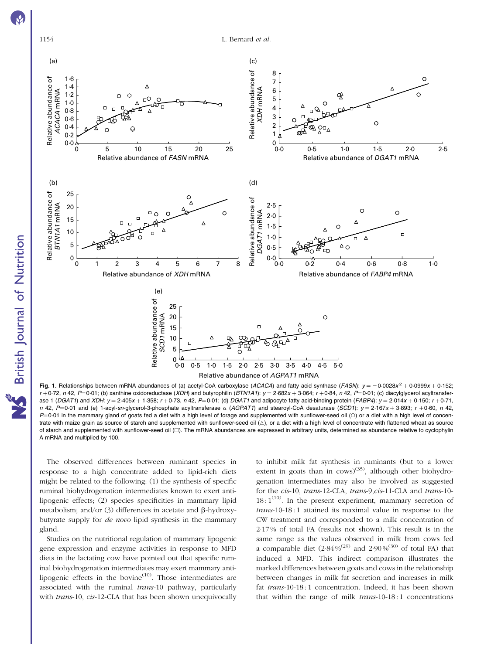

British Journal of Nutrition

**NS** British Journal of Nutrition

1154 L. Bernard et al.



Fig. 1. Relationships between mRNA abundances of (a) acetyl-CoA carboxylase (ACACA) and fatty acid synthase (FASN):  $y = -0.0028x^2 + 0.0999x + 0.152$ ;  $r + 0.72$ , n 42,  $P = 0.01$ ; (b) xanthine oxidoreductase (XDH) and butyrophilin (BTN1A1):  $y = 2.682x + 3.064$ ;  $r + 0.84$ , n 42,  $P = 0.01$ ; (c) diacylglycerol acyltransferase 1 (DGAT1) and XDH:  $y = 2.405x + 1.358$ ;  $r + 0.73$ ,  $n 42$ ,  $P = 0.01$ ; (d) DGAT1 and adipocyte fatty acid-binding protein (FABP4):  $y = 2.014x + 0.150$ ;  $r + 0.71$ , n 42, P=0·01 and (e) 1-acyl-sn-glycerol-3-phosphate acyltransferase  $\alpha$  (AGPAT1) and stearoyl-CoA desaturase (SCD1):  $y = 2.167x + 3.893$ ; r +0·60, n 42,  $P=0.01$  in the mammary gland of goats fed a diet with a high level of forage and supplemented with sunflower-seed oil (O) or a diet with a high level of concentrate with maize grain as source of starch and supplemented with sunflower-seed oil  $(\triangle)$ , or a diet with a high level of concentrate with flattened wheat as source of starch and supplemented with sunflower-seed oil ([]). The mRNA abundances are expressed in arbitrary units, determined as abundance relative to cyclophylin A mRNA and multiplied by 100.

The observed differences between ruminant species in response to a high concentrate added to lipid-rich diets might be related to the following: (1) the synthesis of specific ruminal biohydrogenation intermediates known to exert antilipogenic effects; (2) species specificities in mammary lipid metabolism; and/or  $(3)$  differences in acetate and  $\beta$ -hydroxybutyrate supply for de novo lipid synthesis in the mammary gland.

Studies on the nutritional regulation of mammary lipogenic gene expression and enzyme activities in response to MFD diets in the lactating cow have pointed out that specific ruminal biohydrogenation intermediates may exert mammary antilipogenic effects in the bovine $(10)$ . Those intermediates are associated with the ruminal trans-10 pathway, particularly with trans-10, cis-12-CLA that has been shown unequivocally

to inhibit milk fat synthesis in ruminants (but to a lower extent in goats than in  $\cos(35)$ , although other biohydrogenation intermediates may also be involved as suggested for the cis-10, trans-12-CLA, trans-9,cis-11-CLA and trans-10-  $18:1^{(10)}$ . In the present experiment, mammary secretion of trans-10-18:1 attained its maximal value in response to the CW treatment and corresponded to a milk concentration of 2·17 % of total FA (results not shown). This result is in the same range as the values observed in milk from cows fed a comparable diet  $(2.84\%/^{(29)}$  and  $2.90\%/^{(30)}$  of total FA) that induced a MFD. This indirect comparison illustrates the marked differences between goats and cows in the relationship between changes in milk fat secretion and increases in milk fat trans-10-18:1 concentration. Indeed, it has been shown that within the range of milk  $trans-10-18:1$  concentrations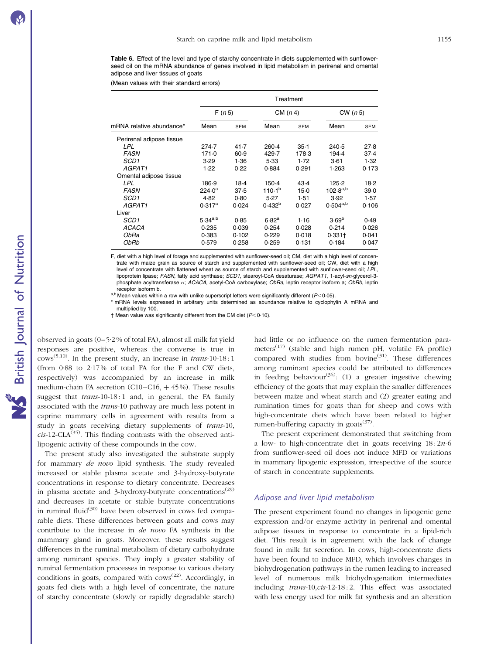Table 6. Effect of the level and type of starchy concentrate in diets supplemented with sunflowerseed oil on the mRNA abundance of genes involved in lipid metabolism in perirenal and omental adipose and liver tissues of goats

(Mean values with their standard errors)

|                          | Treatment                    |        |             |            |                   |            |  |
|--------------------------|------------------------------|--------|-------------|------------|-------------------|------------|--|
|                          | F(n 5)<br>Mean<br><b>SEM</b> |        | CM (n 4)    |            | CW(n 5)           |            |  |
| mRNA relative abundance* |                              |        | Mean        | <b>SEM</b> | Mean              | <b>SEM</b> |  |
| Perirenal adipose tissue |                              |        |             |            |                   |            |  |
| LPL                      | 274.7                        | 41.7   | $260-4$     | $35-1$     | 240.5             | 27.8       |  |
| <b>FASN</b>              | 171.0                        | 60.9   | 429.7       | 178.3      | 194.4             | 37.4       |  |
| SCD <sub>1</sub>         | 3.29                         | 1.36   | 5.33        | 1.72       | $3-61$            | 1.32       |  |
| AGPAT1                   | 1.22                         | 0.22   | 0.884       | 0.291      | 1.263             | 0.173      |  |
| Omental adipose tissue   |                              |        |             |            |                   |            |  |
| LPL                      | 186.9                        | $18-4$ | $150-4$     | 43.4       | 125.2             | 18.2       |  |
| <b>FASN</b>              | $224.0^a$                    | 37.5   | $110.1^{b}$ | $15-0$     | $102.8^{a,b}$     | $39 - 0$   |  |
| SCD <sub>1</sub>         | 4.82                         | 0.80   | 5.27        | 1.51       | 3.92              | 1.57       |  |
| AGPAT1                   | $0.317^a$                    | 0.024  | $0.432^{b}$ | 0.027      | $0.504^{a,b}$     | 0.106      |  |
| Liver                    |                              |        |             |            |                   |            |  |
| SCD1                     | $5.34^{a,b}$                 | 0.85   | $6.82^{a}$  | 1.16       | 3.69 <sup>b</sup> | 0.49       |  |
| <b>ACACA</b>             | 0.235                        | 0.039  | 0.254       | 0.028      | 0.214             | 0.026      |  |
| ObRa                     | 0.383                        | 0.102  | 0.229       | 0.018      | $0.331+$          | 0.041      |  |
| ObRb                     | 0.579                        | 0.258  | 0.259       | 0.131      | 0.184             | 0.047      |  |

F, diet with a high level of forage and supplemented with sunflower-seed oil; CM, diet with a high level of concentrate with maize grain as source of starch and supplemented with sunflower-seed oil; CW, diet with a high level of concentrate with flattened wheat as source of starch and supplemented with sunflower-seed oil; LPL, lipoprotein lipase; FASN, fatty acid synthase; SCD1, stearoyl-CoA desaturase; AGPAT1, 1-acyl-sn-glycerol-3 phosphate acyltransferase  $\alpha$ ; ACACA, acetyl-CoA carboxylase; ObRa, leptin receptor isoform a; ObRb, leptin receptor isoform b.<br>a,b Mean values within a row with unlike superscript letters were significantly different (P<0·05).

\* mRNA levels expressed in arbitrary units determined as abundance relative to cyclophylin A mRNA and multiplied by 100.

 $\dagger$  Mean value was significantly different from the CM diet ( $P<0.10$ ).

observed in goats (0–5·2 % of total FA), almost all milk fat yield responses are positive, whereas the converse is true in  $\text{cows}^{(5,10)}$ . In the present study, an increase in *trans*-10-18 : 1 (from  $0.88$  to  $2.17\%$  of total FA for the F and CW diets, respectively) was accompanied by an increase in milk medium-chain FA secretion (C10–C16,  $+$  45%). These results suggest that  $trans-10-18:1$  and, in general, the FA family associated with the trans-10 pathway are much less potent in caprine mammary cells in agreement with results from a study in goats receiving dietary supplements of *trans-*10,  $cis$ -12-CLA<sup>(35)</sup>. This finding contrasts with the observed antilipogenic activity of these compounds in the cow.

The present study also investigated the substrate supply for mammary de novo lipid synthesis. The study revealed increased or stable plasma acetate and 3-hydroxy-butyrate concentrations in response to dietary concentrate. Decreases in plasma acetate and 3-hydroxy-butyrate concentrations<sup>(29)</sup> and decreases in acetate or stable butyrate concentrations in ruminal fluid $(30)$  have been observed in cows fed comparable diets. These differences between goats and cows may contribute to the increase in de novo FA synthesis in the mammary gland in goats. Moreover, these results suggest differences in the ruminal metabolism of dietary carbohydrate among ruminant species. They imply a greater stability of ruminal fermentation processes in response to various dietary conditions in goats, compared with  $\cos^{(22)}$ . Accordingly, in goats fed diets with a high level of concentrate, the nature of starchy concentrate (slowly or rapidly degradable starch) had little or no influence on the rumen fermentation parameters<sup> $(17)$ </sup> (stable and high rumen pH, volatile FA profile) compared with studies from bovine $^{(31)}$ . These differences among ruminant species could be attributed to differences in feeding behaviour<sup>(36)</sup>: (1) a greater ingestive chewing efficiency of the goats that may explain the smaller differences between maize and wheat starch and (2) greater eating and rumination times for goats than for sheep and cows with high-concentrate diets which have been related to higher rumen-buffering capacity in goats<sup> $(37)$ </sup>.

The present experiment demonstrated that switching from a low- to high-concentrate diet in goats receiving  $18:2n-6$ from sunflower-seed oil does not induce MFD or variations in mammary lipogenic expression, irrespective of the source of starch in concentrate supplements.

#### Adipose and liver lipid metabolism

The present experiment found no changes in lipogenic gene expression and/or enzyme activity in perirenal and omental adipose tissues in response to concentrate in a lipid-rich diet. This result is in agreement with the lack of change found in milk fat secretion. In cows, high-concentrate diets have been found to induce MFD, which involves changes in biohydrogenation pathways in the rumen leading to increased level of numerous milk biohydrogenation intermediates including trans-10,cis-12-18 : 2. This effect was associated with less energy used for milk fat synthesis and an alteration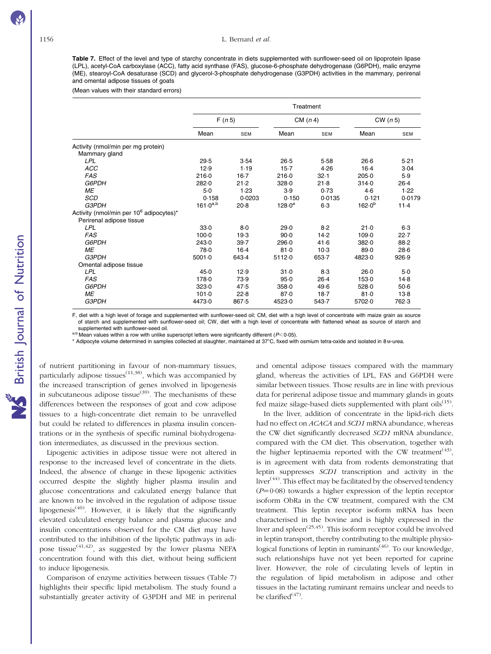Table 7. Effect of the level and type of starchy concentrate in diets supplemented with sunflower-seed oil on lipoprotein lipase (LPL), acetyl-CoA carboxylase (ACC), fatty acid synthase (FAS), glucose-6-phosphate dehydrogenase (G6PDH), malic enzyme (ME), stearoyl-CoA desaturase (SCD) and glycerol-3-phosphate dehydrogenase (G3PDH) activities in the mammary, perirenal and omental adipose tissues of goats

(Mean values with their standard errors)

|                                                                                 | Treatment     |            |            |            |             |            |
|---------------------------------------------------------------------------------|---------------|------------|------------|------------|-------------|------------|
|                                                                                 | F(n 5)        |            | CM $(n 4)$ |            | CW(n 5)     |            |
|                                                                                 | Mean          | <b>SEM</b> | Mean       | <b>SEM</b> | Mean        | <b>SEM</b> |
| Activity (nmol/min per mg protein)<br>Mammary gland                             |               |            |            |            |             |            |
| <b>LPL</b>                                                                      | 29.5          | 3.54       | $26-5$     | 5.58       | $26-6$      | $5-21$     |
| ACC                                                                             | 12.9          | 1.19       | $15-7$     | 4.26       | $16-4$      | 3.04       |
| <b>FAS</b>                                                                      | 216-0         | $16-7$     | 216.0      | 32.1       | 205.0       | 5.9        |
| G6PDH                                                                           | 282.0         | 21.2       | 328.0      | $21-8$     | 314.0       | $26-4$     |
| ME                                                                              | $5-0$         | 1.23       | 3.9        | 0.73       | 4.6         | 1.22       |
| <b>SCD</b>                                                                      | 0.158         | 0.0203     | 0.150      | 0.0135     | 0.121       | 0.0179     |
| G3PDH                                                                           | $161.0^{a,b}$ | $20-8$     | $128.0^a$  | $6-3$      | $162.0^{b}$ | $11-4$     |
| Activity (nmol/min per 10 <sup>6</sup> adipocytes)*<br>Perirenal adipose tissue |               |            |            |            |             |            |
| <b>LPL</b>                                                                      | 33.0          | $8-0$      | 29.0       | 8.2        | 21.0        | $6-3$      |
| <b>FAS</b>                                                                      | $100 - 0$     | 19.3       | $90-0$     | 14.2       | 109.0       | 22.7       |
| G6PDH                                                                           | 243.0         | 39.7       | 296.0      | 41.6       | 382.0       | 88.2       |
| <b>ME</b>                                                                       | 78.0          | $16-4$     | 81.0       | $10-3$     | 89.0        | $28-6$     |
| <b>G3PDH</b>                                                                    | 5001.0        | 643.4      | 5112-0     | 653.7      | 4823.0      | 926.9      |
| Omental adipose tissue                                                          |               |            |            |            |             |            |
| LPL                                                                             | 45.0          | 12.9       | $31 - 0$   | $8-3$      | 26.0        | $5-0$      |
| <b>FAS</b>                                                                      | 178-0         | 73.9       | 95.0       | $26-4$     | 153.0       | $14-8$     |
| G6PDH                                                                           | 323.0         | 47.5       | 358.0      | 49.6       | 528.0       | $50-6$     |
| ME                                                                              | 101.0         | 22.8       | 87.0       | 18.7       | 81.0        | $13-8$     |
| G3PDH                                                                           | 4473.0        | 867.5      | 4523.0     | 543.7      | 5702.0      | 762.3      |

F, diet with a high level of forage and supplemented with sunflower-seed oil; CM, diet with a high level of concentrate with maize grain as source of starch and supplemented with sunflower-seed oil; CW, diet with a high level of concentrate with flattened wheat as source of starch and

a,b Mean values within a row with unlike superscript letters were significantly different ( $P<0.05$ ).

\* Adipocyte volume determined in samples collected at slaughter, maintained at 37°C, fixed with osmium tetra-oxide and isolated in 8 M-urea.

of nutrient partitioning in favour of non-mammary tissues, particularly adipose tissues<sup> $(11,38)$ </sup>, which was accompanied by the increased transcription of genes involved in lipogenesis in subcutaneous adipose tissue<sup>(39)</sup>. The mechanisms of these differences between the responses of goat and cow adipose tissues to a high-concentrate diet remain to be unravelled but could be related to differences in plasma insulin concentrations or in the synthesis of specific ruminal biohydrogenation intermediates, as discussed in the previous section.

Lipogenic activities in adipose tissue were not altered in response to the increased level of concentrate in the diets. Indeed, the absence of change in these lipogenic activities occurred despite the slightly higher plasma insulin and glucose concentrations and calculated energy balance that are known to be involved in the regulation of adipose tissue lipogenesis<sup>(40)</sup>. However, it is likely that the significantly elevated calculated energy balance and plasma glucose and insulin concentrations observed for the CM diet may have contributed to the inhibition of the lipolytic pathways in adipose tissue<sup>(41,42)</sup>, as suggested by the lower plasma NEFA concentration found with this diet, without being sufficient to induce lipogenesis.

Comparison of enzyme activities between tissues (Table 7) highlights their specific lipid metabolism. The study found a substantially greater activity of G3PDH and ME in perirenal

and omental adipose tissues compared with the mammary gland, whereas the activities of LPL, FAS and G6PDH were similar between tissues. Those results are in line with previous data for perirenal adipose tissue and mammary glands in goats fed maize silage-based diets supplemented with plant oils<sup>(15)</sup>.

In the liver, addition of concentrate in the lipid-rich diets had no effect on *ACACA* and *SCD1* mRNA abundance, whereas the CW diet significantly decreased SCD1 mRNA abundance, compared with the CM diet. This observation, together with the higher leptinaemia reported with the CW treatment<sup> $(43)$ </sup>. is in agreement with data from rodents demonstrating that leptin suppresses SCD1 transcription and activity in the liver<sup> $(44)$ </sup>. This effect may be facilitated by the observed tendency  $(P=0.08)$  towards a higher expression of the leptin receptor isoform ObRa in the CW treatment, compared with the CM treatment. This leptin receptor isoform mRNA has been characterised in the bovine and is highly expressed in the liver and spleen<sup>(25,45)</sup>. This isoform receptor could be involved in leptin transport, thereby contributing to the multiple physiological functions of leptin in ruminants<sup> $(46)$ </sup>. To our knowledge, such relationships have not yet been reported for caprine liver. However, the role of circulating levels of leptin in the regulation of lipid metabolism in adipose and other tissues in the lactating ruminant remains unclear and needs to be clarified $(47)$ .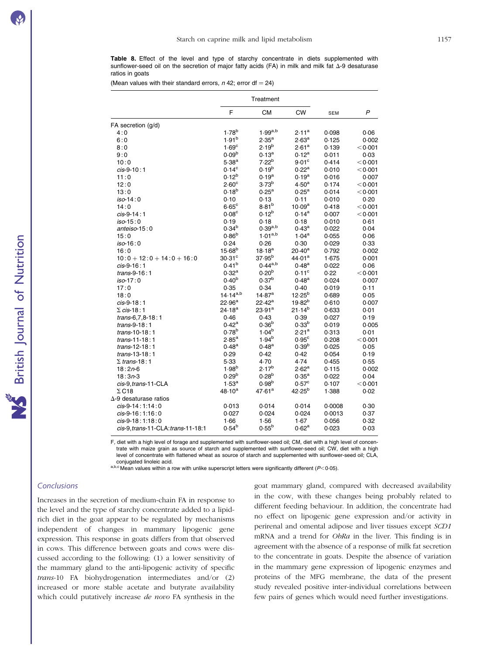Table 8. Effect of the level and type of starchy concentrate in diets supplemented with sunflower-seed oil on the secretion of major fatty acids (FA) in milk and milk fat  $\Delta$ -9 desaturase ratios in goats

(Mean values with their standard errors,  $n$  42; error df = 24)

|                                    |                    | Treatment                |                    |            |              |
|------------------------------------|--------------------|--------------------------|--------------------|------------|--------------|
|                                    | F                  | <b>CM</b>                | <b>CW</b>          | <b>SEM</b> | $\mathsf{P}$ |
| FA secretion (g/d)                 |                    |                          |                    |            |              |
| 4:0                                | $1.78^{b}$         | $1.99^{a,b}$             | $2.11^a$           | 0.098      | 0.06         |
| 6:0                                | 1.91 <sup>b</sup>  | $2.35^{a}$               | $2.63^{\rm a}$     | 0.125      | 0.002        |
| 8:0                                | 1.69 <sup>c</sup>  | $2.19^{b}$               | 2.61 <sup>a</sup>  | 0.139      | < 0.001      |
| 9:0                                | 0.09 <sup>b</sup>  | $0.13^{a}$               | $0.12^a$           | 0.011      | 0.03         |
| 10:0                               | $5.38^{a}$         | 7.22 <sup>b</sup>        | $9.01^{\circ}$     | 0.414      | < 0.001      |
| $cis-9-10:1$                       | $0.14^{\circ}$     | $0.19^{b}$               | $0.22^{\rm a}$     | 0.010      | < 0.001      |
| 11:0                               | $0.12^{b}$         | $0.19^{a}$               | $0.19^{a}$         | 0.016      | 0.007        |
| 12:0                               | 2.60 <sup>c</sup>  | 3.73 <sup>b</sup>        | 4.50 <sup>a</sup>  | 0.174      | < 0.001      |
| 13:0                               | $0.18^{b}$         | $0.25^{\rm a}$           | $0.25^{\rm a}$     | 0.014      | < 0.001      |
| $iso-14:0$                         | 0.10               | 0.13                     | 0.11               | 0.010      | 0.20         |
| 14:0                               | $6.65^{\circ}$     | $8.81^{b}$               | 10.09 <sup>a</sup> | 0.418      | < 0.001      |
| $cis-9-14:1$                       | 0.08 <sup>c</sup>  | $0.12^{b}$               | $0.14^{\rm a}$     | 0.007      | < 0.001      |
| iso-15:0                           | 0.19               | 0.18                     | 0.18               | 0.010      | 0.61         |
| anteiso-15:0                       | $0.34^{b}$         | $0.39^{a,b}$             | $0.43^{\rm a}$     | 0.022      | 0.04         |
| 15:0                               | $0.86^{b}$         | $1.01^{a,b}$             | $1.04^{\rm a}$     | 0.055      | 0.06         |
| $iso-16:0$                         | 0.24               | 0.26                     | 0.30               | 0.029      | 0.33         |
| 16:0                               | $15.68^{b}$        | $18.18^{a}$              | $20.40^a$          | 0.792      | 0.002        |
| $10:0 + 12:0 + 14:0 + 16:0$        | $30.31$ °          | $37.95^b$                | 44.01 <sup>a</sup> | 1.675      | 0.001        |
| $cis-9-16:1$                       | $0.41^{b}$         | $0.44^{a,b}$             | $0.48^{a}$         | 0.022      | 0.06         |
| trans-9-16:1                       | $0.32^{a}$         | $0.20^{b}$               | $0.11^{\circ}$     | 0.22       | < 0.001      |
| $iso-17:0$                         | $0.40^{b}$         | 0.37 <sup>b</sup>        | $0.48^{a}$         | 0.024      | 0.007        |
| 17:0                               | 0.35               | 0.34                     | 0.40               | 0.019      | 0.11         |
| 18:0                               | $14.14^{a,b}$      | 14.87 <sup>a</sup>       | $12.25^{b}$        | 0.689      | 0.05         |
| $cis-9-18:1$                       | $22.96^{\rm a}$    | $22.42^a$                | $19.82^{b}$        | 0.610      | 0.007        |
| $\Sigma$ cis-18:1                  | 24.18 <sup>a</sup> | 23.91 <sup>a</sup>       | $21.14^{b}$        | 0.633      | 0.01         |
| trans-6,7,8-18:1                   | 0.46               | 0.43                     | 0.39               | 0.027      | 0.19         |
| trans-9-18:1                       | $0.42^{\rm a}$     | $0.36^{b}$               | 0.33 <sup>b</sup>  | 0.019      | 0.005        |
| trans-10-18:1                      | 0.78 <sup>b</sup>  | $1.04^{b}$               | 2.21 <sup>a</sup>  | 0.313      | 0.01         |
| trans-11-18:1                      | $2.85^{a}$         | $1.94^{b}$               | 0.95 <sup>c</sup>  | 0.208      | < 0.001      |
|                                    | $0.48^{a}$         | $0.48^{a}$               | 0.39 <sup>b</sup>  |            |              |
| trans-12-18:1                      | 0.29               |                          |                    | 0.025      | 0.05         |
| trans-13-18:1                      |                    | 0.42                     | 0.42               | 0.054      | 0.19         |
| $\Sigma$ trans-18:1                | 5.33               | 4.70                     | 4.74               | 0.455      | 0.55         |
| $18:2n-6$                          | 1.98 <sup>b</sup>  | $2.17^{b}$<br>$0.28^{b}$ | $2.62^{\rm a}$     | 0.115      | 0.002        |
| $18:3n-3$                          | 0.29 <sup>b</sup>  |                          | $0.35^{\rm a}$     | 0.022      | 0.04         |
| cis-9.trans-11-CLA                 | $1.53^{a}$         | 0.98 <sup>b</sup>        | $0.57^{\circ}$     | 0.107      | < 0.001      |
| $\Sigma$ C18                       | $48.10^a$          | $47.61^a$                | 42.25 <sup>b</sup> | 1.388      | 0.02         |
| $\Delta$ -9 desaturase ratios      |                    |                          |                    |            |              |
| $cis-9-14:1:14:0$                  | 0.013              | 0.014                    | 0.014              | 0.0008     | 0.30         |
| $cis-9-16:1:16:0$                  | 0.027              | 0.024                    | 0.024              | 0.0013     | 0.37         |
| cis-9-18:1:18:0                    | 1.66               | 1.56                     | 1.67               | 0.056      | 0.32         |
| cis-9, trans-11-CLA: trans-11-18:1 | $0.54^{b}$         | $0.55^{b}$               | $0.62^{\rm a}$     | 0.023      | 0.03         |

F, diet with a high level of forage and supplemented with sunflower-seed oil; CM, diet with a high level of concentrate with maize grain as source of starch and supplemented with sunflower-seed oil; CW, diet with a high level of concentrate with flattened wheat as source of starch and supplemented with sunflower-seed oil; CLA, conjugated linoleic acid.

a,b,c Mean values within a row with unlike superscript letters were significantly different  $(P<0.05)$ .

#### **Conclusions**

Increases in the secretion of medium-chain FA in response to the level and the type of starchy concentrate added to a lipidrich diet in the goat appear to be regulated by mechanisms independent of changes in mammary lipogenic gene expression. This response in goats differs from that observed in cows. This difference between goats and cows were discussed according to the following: (1) a lower sensitivity of the mammary gland to the anti-lipogenic activity of specific trans-10 FA biohydrogenation intermediates and/or (2) increased or more stable acetate and butyrate availability which could putatively increase de novo FA synthesis in the goat mammary gland, compared with decreased availability in the cow, with these changes being probably related to different feeding behaviour. In addition, the concentrate had no effect on lipogenic gene expression and/or activity in perirenal and omental adipose and liver tissues except SCD1 mRNA and a trend for ObRa in the liver. This finding is in agreement with the absence of a response of milk fat secretion to the concentrate in goats. Despite the absence of variation in the mammary gene expression of lipogenic enzymes and proteins of the MFG membrane, the data of the present study revealed positive inter-individual correlations between few pairs of genes which would need further investigations.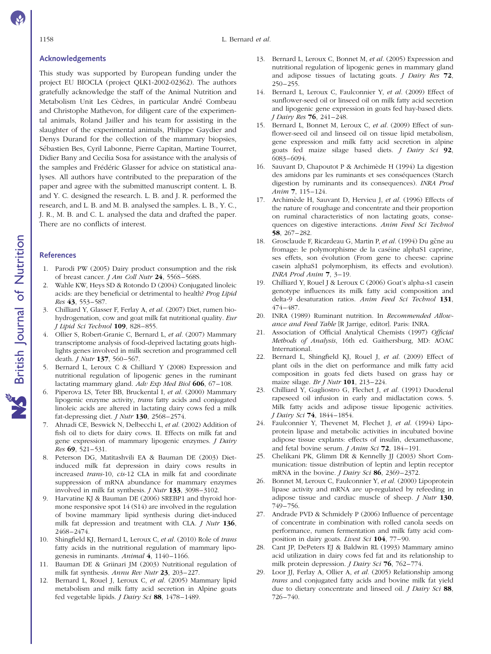#### Acknowledgements

This study was supported by European funding under the project EU BIOCLA (project QLK1-2002-02362). The authors gratefully acknowledge the staff of the Animal Nutrition and Metabolism Unit Les Cèdres, in particular André Combeau and Christophe Mathevon, for diligent care of the experimental animals, Roland Jailler and his team for assisting in the slaughter of the experimental animals, Philippe Gaydier and Denys Durand for the collection of the mammary biopsies, Sébastien Bes, Cyril Labonne, Pierre Capitan, Martine Tourret, Didier Bany and Cecilia Sosa for assistance with the analysis of the samples and Frédéric Glasser for advice on statistical analyses. All authors have contributed to the preparation of the paper and agree with the submitted manuscript content. L. B. and Y. C. designed the research. L. B. and J. R. performed the research, and L. B. and M. B. analysed the samples. L. B., Y. C., J. R., M. B. and C. L. analysed the data and drafted the paper. There are no conflicts of interest.

#### References

- 1. Parodi PW (2005) Dairy product consumption and the risk of breast cancer. J Am Coll Nutr 24, 556S–568S.
- Wahle KW, Heys SD & Rotondo D (2004) Conjugated linoleic acids: are they beneficial or detrimental to health? Prog Lipid Res 43, 553–587.
- 3. Chilliard Y, Glasser F, Ferlay A, et al. (2007) Diet, rumen biohydrogenation, cow and goat milk fat nutritional quality. Eur J Lipid Sci Technol 109, 828–855.
- 4. Ollier S, Robert-Granie C, Bernard L, et al. (2007) Mammary transcriptome analysis of food-deprived lactating goats highlights genes involved in milk secretion and programmed cell death. *J Nutr* **137**, 560–567.
- 5. Bernard L, Leroux C & Chilliard Y (2008) Expression and nutritional regulation of lipogenic genes in the ruminant lactating mammary gland. Adv Exp Med Biol  $606$ , 67–108.
- 6. Piperova LS, Teter BB, Bruckental I, et al. (2000) Mammary lipogenic enzyme activity, trans fatty acids and conjugated linoleic acids are altered in lactating dairy cows fed a milk fat-depressing diet. *J Nutr* **130**,  $2568 - 2574$ .
- 7. Ahnadi CE, Beswick N, Delbecchi L, et al. (2002) Addition of fish oil to diets for dairy cows. II. Effects on milk fat and gene expression of mammary lipogenic enzymes. J Dairy Res 69, 521–531.
- 8. Peterson DG, Matitashvili EA & Bauman DE (2003) Dietinduced milk fat depression in dairy cows results in increased trans-10, cis-12 CLA in milk fat and coordinate suppression of mRNA abundance for mammary enzymes involved in milk fat synthesis. J Nutr 133, 3098–3102.
- 9. Harvatine KJ & Bauman DE (2006) SREBP1 and thyroid hormone responsive spot 14 (S14) are involved in the regulation of bovine mammary lipid synthesis during diet-induced milk fat depression and treatment with CLA. *J Nutr* 136, 2468–2474.
- 10. Shingfield KJ, Bernard L, Leroux C, et al. (2010) Role of trans fatty acids in the nutritional regulation of mammary lipogenesis in ruminants. Animal 4, 1140–1166.
- 11. Bauman DE & Griinari JM (2003) Nutritional regulation of milk fat synthesis. Annu Rev Nutr 23, 203–227.
- 12. Bernard L, Rouel J, Leroux C, et al. (2005) Mammary lipid metabolism and milk fatty acid secretion in Alpine goats fed vegetable lipids. *J Dairy Sci* 88, 1478-1489.
- 13. Bernard L, Leroux C, Bonnet M, et al. (2005) Expression and nutritional regulation of lipogenic genes in mammary gland and adipose tissues of lactating goats. J Dairy Res 72,  $250 - 255$ .
- 14. Bernard L, Leroux C, Faulconnier Y, et al. (2009) Effect of sunflower-seed oil or linseed oil on milk fatty acid secretion and lipogenic gene expression in goats fed hay-based diets. J Dairy Res 76, 241–248.
- 15. Bernard L, Bonnet M, Leroux C, et al. (2009) Effect of sunflower-seed oil and linseed oil on tissue lipid metabolism, gene expression and milk fatty acid secretion in alpine goats fed maize silage based diets. J Dairy Sci 92, 6083–6094.
- 16. Sauvant D, Chapoutot P & Archimède H (1994) La digestion des amidons par les ruminants et ses conséquences (Starch digestion by ruminants and its consequences). INRA Prod Anim 7, 115–124.
- 17. Archimède H, Sauvant D, Hervieu J, et al. (1996) Effects of the nature of roughage and concentrate and their proportion on ruminal characteristics of non lactating goats, consequences on digestive interactions. Anim Feed Sci Technol 58, 267–282.
- 18. Grosclaude F, Ricardeau G, Martin P, et al. (1994) Du gčne au fromage: le polymorphisme de la caséine alphaS1 caprine, ses effets, son évolution (From gene to cheese: caprine casein alphaS1 polymorphism, its effects and evolution). INRA Prod Anim 7, 3–19.
- 19. Chilliard Y, Rouel J & Leroux C (2006) Goat's alpha-s1 casein genotype influences its milk fatty acid composition and delta-9 desaturation ratios. Anim Feed Sci Technol 131, 474–487.
- 20. INRA (1989) Ruminant nutrition. In Recommended Allowance and Feed Table [R Jarrige, editor]. Paris: INRA.
- 21. Association of Official Analytical Chemists (1997) Official Methods of Analysis, 16th ed. Gaithersburg, MD: AOAC International.
- 22. Bernard L, Shingfield KJ, Rouel J, et al. (2009) Effect of plant oils in the diet on performance and milk fatty acid composition in goats fed diets based on grass hay or maize silage. Br J Nutr 101, 213–224.
- 23. Chilliard Y, Gagliostro G, Flechet J, et al. (1991) Duodenal rapeseed oil infusion in early and midlactation cows. 5. Milk fatty acids and adipose tissue lipogenic activities. J Dairy Sci 74, 1844–1854.
- 24. Faulconnier Y, Thevenet M, Flechet J, et al. (1994) Lipoprotein lipase and metabolic activities in incubated bovine adipose tissue explants: effects of insulin, dexamethasone, and fetal bovine serum. J Anim Sci 72, 184–191.
- 25. Chelikani PK, Glimm DR & Kennelly JJ (2003) Short Communication: tissue distribution of leptin and leptin receptor mRNA in the bovine. *J Dairy Sci* 86, 2369–2372.
- 26. Bonnet M, Leroux C, Faulconnier Y, et al. (2000) Lipoprotein lipase activity and mRNA are up-regulated by refeeding in adipose tissue and cardiac muscle of sheep. J Nutr 130, 749–756.
- 27. Andrade PVD & Schmidely P (2006) Influence of percentage of concentrate in combination with rolled canola seeds on performance, rumen fermentation and milk fatty acid composition in dairy goats. Livest Sci 104, 77–90.
- 28. Cant JP, DePeters EJ & Baldwin RL (1993) Mammary amino acid utilization in dairy cows fed fat and its relationship to milk protein depression. *J Dairy Sci* **76**, 762–774.
- 29. Loor JJ, Ferlay A, Ollier A, et al. (2005) Relationship among trans and conjugated fatty acids and bovine milk fat yield due to dietary concentrate and linseed oil. *J Dairy Sci* 88, 726–740.